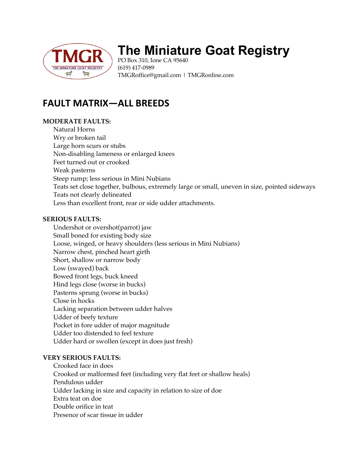

# **The Miniature Goat Registry**

PO Box 310, Ione CA 95640 (619) 417-0989 TMGRoffice@gmail.com | TMGRonline.com

## **FAULT MATRIX—ALL BREEDS**

#### **MODERATE FAULTS:**

Natural Horns Wry or broken tail Large horn scurs or stubs Non-disabling lameness or enlarged knees Feet turned out or crooked Weak pasterns Steep rump; less serious in Mini Nubians Teats set close together, bulbous, extremely large or small, uneven in size, pointed sideways Teats not clearly delineated Less than excellent front, rear or side udder attachments.

### **SERIOUS FAULTS:**

Undershot or overshot(parrot) jaw Small boned for existing body size Loose, winged, or heavy shoulders (less serious in Mini Nubians) Narrow chest, pinched heart girth Short, shallow or narrow body Low (swayed) back Bowed front legs, buck kneed Hind legs close (worse in bucks) Pasterns sprung (worse in bucks) Close in hocks Lacking separation between udder halves Udder of beefy texture Pocket in fore udder of major magnitude Udder too distended to feel texture Udder hard or swollen (except in does just fresh)

#### **VERY SERIOUS FAULTS:**

Crooked face in does Crooked or malformed feet (including very flat feet or shallow heals) Pendulous udder Udder lacking in size and capacity in relation to size of doe Extra teat on doe Double orifice in teat Presence of scar tissue in udder